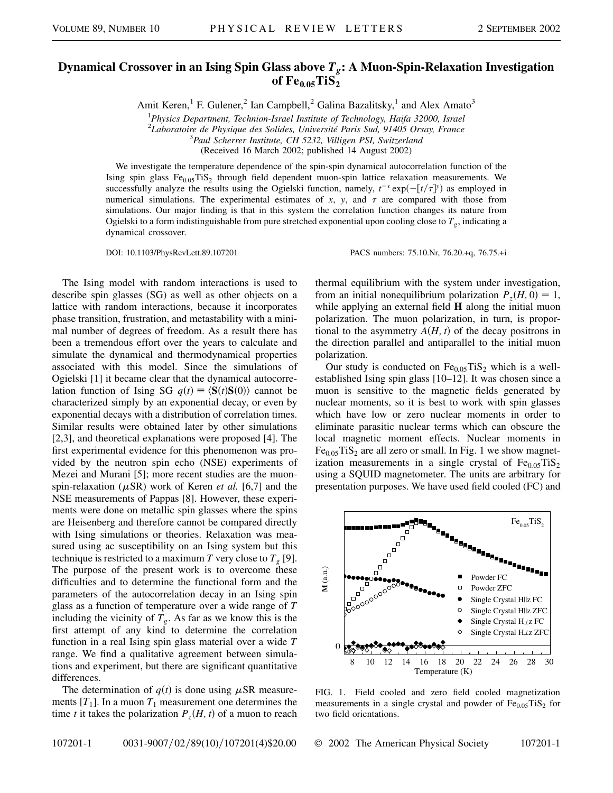## **Dynamical Crossover in an Ising Spin Glass above** *Tg***: A Muon-Spin-Relaxation Investigation** of  $Fe<sub>0.05</sub>TiS<sub>2</sub>$

Amit Keren,<sup>1</sup> F. Gulener,<sup>2</sup> Ian Campbell,<sup>2</sup> Galina Bazalitsky,<sup>1</sup> and Alex Amato<sup>3</sup>

1 *Physics Department, Technion-Israel Institute of Technology, Haifa 32000, Israel*

<sup>2</sup> Laboratoire de Physique des Solides, Université Paris Sud, 91405 Orsay, France

*Paul Scherrer Institute, CH 5232, Villigen PSI, Switzerland*

(Received 16 March 2002; published 14 August 2002)

We investigate the temperature dependence of the spin-spin dynamical autocorrelation function of the Ising spin glass Fe<sub>0.05</sub>TiS<sub>2</sub> through field dependent muon-spin lattice relaxation measurements. We successfully analyze the results using the Ogielski function, namely,  $t^{-x} \exp(-\left[\frac{t}{\tau}\right]^y)$  as employed in numerical simulations. The experimental estimates of  $x$ ,  $y$ , and  $\tau$  are compared with those from simulations. Our major finding is that in this system the correlation function changes its nature from Ogielski to a form indistinguishable from pure stretched exponential upon cooling close to  $T<sub>g</sub>$ , indicating a dynamical crossover.

DOI: 10.1103/PhysRevLett.89.107201 PACS numbers: 75.10.Nr, 76.20.+q, 76.75.+i

The Ising model with random interactions is used to describe spin glasses (SG) as well as other objects on a lattice with random interactions, because it incorporates phase transition, frustration, and metastability with a minimal number of degrees of freedom. As a result there has been a tremendous effort over the years to calculate and simulate the dynamical and thermodynamical properties associated with this model. Since the simulations of Ogielski [1] it became clear that the dynamical autocorrelation function of Ising SG  $q(t) \equiv \langle \mathbf{S}(t) \mathbf{S}(0) \rangle$  cannot be characterized simply by an exponential decay, or even by exponential decays with a distribution of correlation times. Similar results were obtained later by other simulations [2,3], and theoretical explanations were proposed [4]. The first experimental evidence for this phenomenon was provided by the neutron spin echo (NSE) experiments of Mezei and Murani [5]; more recent studies are the muonspin-relaxation ( $\mu$ SR) work of Keren *et al.* [6,7] and the NSE measurements of Pappas [8]. However, these experiments were done on metallic spin glasses where the spins are Heisenberg and therefore cannot be compared directly with Ising simulations or theories. Relaxation was measured using ac susceptibility on an Ising system but this technique is restricted to a maximum *T* very close to  $T<sub>g</sub>$  [9]. The purpose of the present work is to overcome these difficulties and to determine the functional form and the parameters of the autocorrelation decay in an Ising spin glass as a function of temperature over a wide range of *T* including the vicinity of  $T_g$ . As far as we know this is the first attempt of any kind to determine the correlation function in a real Ising spin glass material over a wide *T* range. We find a qualitative agreement between simulations and experiment, but there are significant quantitative differences.

The determination of  $q(t)$  is done using  $\mu$ SR measurements  $[T_1]$ . In a muon  $T_1$  measurement one determines the time *t* it takes the polarization  $P_z(H, t)$  of a muon to reach

thermal equilibrium with the system under investigation, from an initial nonequilibrium polarization  $P_z(H, 0) = 1$ , while applying an external field **H** along the initial muon polarization. The muon polarization, in turn, is proportional to the asymmetry  $A(H, t)$  of the decay positrons in the direction parallel and antiparallel to the initial muon polarization.

Our study is conducted on  $Fe<sub>0.05</sub>TiS<sub>2</sub>$  which is a wellestablished Ising spin glass [10–12]. It was chosen since a muon is sensitive to the magnetic fields generated by nuclear moments, so it is best to work with spin glasses which have low or zero nuclear moments in order to eliminate parasitic nuclear terms which can obscure the local magnetic moment effects. Nuclear moments in  $Fe<sub>0.05</sub>TiS<sub>2</sub>$  are all zero or small. In Fig. 1 we show magnetization measurements in a single crystal of  $Fe<sub>0.05</sub>TiS<sub>2</sub>$ using a SQUID magnetometer. The units are arbitrary for presentation purposes. We have used field cooled (FC) and



FIG. 1. Field cooled and zero field cooled magnetization measurements in a single crystal and powder of  $Fe<sub>0.05</sub>TiS<sub>2</sub>$  for two field orientations.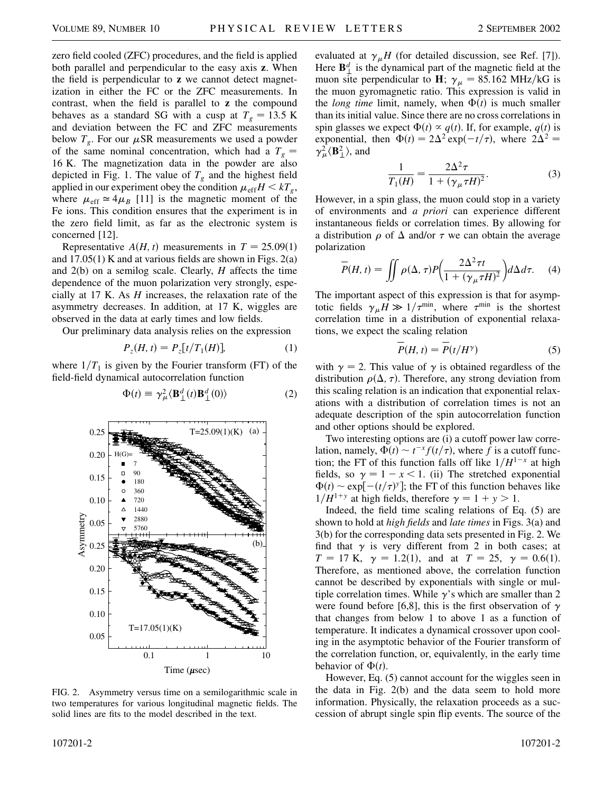zero field cooled (ZFC) procedures, and the field is applied both parallel and perpendicular to the easy axis **z**. When the field is perpendicular to **z** we cannot detect magnetization in either the FC or the ZFC measurements. In contrast, when the field is parallel to **z** the compound behaves as a standard SG with a cusp at  $T<sub>g</sub> = 13.5$  K and deviation between the FC and ZFC measurements below  $T_g$ . For our  $\mu$ SR measurements we used a powder of the same nominal concentration, which had a  $T_g =$ 16 K. The magnetization data in the powder are also depicted in Fig. 1. The value of  $T_g$  and the highest field applied in our experiment obey the condition  $\mu_{eff} H < kT_g$ , where  $\mu_{\text{eff}} \simeq 4 \mu_B$  [11] is the magnetic moment of the Fe ions. This condition ensures that the experiment is in the zero field limit, as far as the electronic system is concerned [12].

Representative  $A(H, t)$  measurements in  $T = 25.09(1)$ and  $17.05(1)$  K and at various fields are shown in Figs.  $2(a)$ and 2(b) on a semilog scale. Clearly, *H* affects the time dependence of the muon polarization very strongly, especially at 17 K. As *H* increases, the relaxation rate of the asymmetry decreases. In addition, at 17 K, wiggles are observed in the data at early times and low fields.

Our preliminary data analysis relies on the expression

$$
P_z(H, t) = P_z[t/T_1(H)],
$$
 (1)

 $\Phi(t) \equiv \gamma_{\mu}^2 \langle \mathbf{B}^d_{\perp}(t) \mathbf{B}^d_{\perp}(0) \rangle$  (2)

where  $1/T_1$  is given by the Fourier transform (FT) of the field-field dynamical autocorrelation function

0.1 1 10 0.05 0.10 0.15 0.20 0.25 180 360 720 1440 2880 5760 T=17.05(1)(K) (b) Asymmetry Time (µsec) 0.05 0.10 0.15 0.20 0.25 T=25.09(1)(K) (a) H(G)= 7 90

FIG. 2. Asymmetry versus time on a semilogarithmic scale in two temperatures for various longitudinal magnetic fields. The solid lines are fits to the model described in the text.

evaluated at  $\gamma_{\mu}H$  (for detailed discussion, see Ref. [7]). Here  $\mathbf{B}_{\perp}^d$  is the dynamical part of the magnetic field at the muon site perpendicular to **H**;  $\gamma_{\mu} = 85.162 \text{ MHz/KG}$  is the muon gyromagnetic ratio. This expression is valid in the *long time* limit, namely, when  $\Phi(t)$  is much smaller than its initial value. Since there are no cross correlations in spin glasses we expect  $\Phi(t) \propto q(t)$ . If, for example,  $q(t)$  is exponential, then  $\Phi(t) = 2\Delta^2 \exp(-t/\tau)$ , where  $2\Delta^2 =$  $\gamma^2_\mu \langle \mathbf{B}^2_\perp \rangle$ , and

$$
\frac{1}{T_1(H)} = \frac{2\Delta^2 \tau}{1 + (\gamma_\mu \tau H)^2}.
$$
 (3)

However, in a spin glass, the muon could stop in a variety of environments and *a priori* can experience different instantaneous fields or correlation times. By allowing for a distribution  $\rho$  of  $\Delta$  and/or  $\tau$  we can obtain the average polarization

$$
\overline{P}(H,t) = \iint \rho(\Delta,\tau) P\left(\frac{2\Delta^2 \tau t}{1 + (\gamma_{\mu}\tau H)^2}\right) d\Delta d\tau.
$$
 (4)

The important aspect of this expression is that for asymptotic fields  $\gamma_{\mu}H \gg 1/\tau^{\min}$ , where  $\tau^{\min}$  is the shortest correlation time in a distribution of exponential relaxations, we expect the scaling relation

$$
P(H, t) = P(t/H^{\gamma})
$$
 (5)

with  $\gamma = 2$ . This value of  $\gamma$  is obtained regardless of the distribution  $\rho(\Delta, \tau)$ . Therefore, any strong deviation from this scaling relation is an indication that exponential relaxations with a distribution of correlation times is not an adequate description of the spin autocorrelation function and other options should be explored.

Two interesting options are (i) a cutoff power law correlation, namely,  $\Phi(t) \sim t^{-x} f(t/\tau)$ , where f is a cutoff function; the FT of this function falls off like  $1/H^{1-x}$  at high fields, so  $\gamma = 1 - x < 1$ . (ii) The stretched exponential  $\Phi(t) \sim \exp[-(t/\tau)^y]$ ; the FT of this function behaves like  $1/H^{1+y}$  at high fields, therefore  $\gamma = 1 + y > 1$ .

Indeed, the field time scaling relations of Eq. (5) are shown to hold at *high fields* and *late times* in Figs. 3(a) and 3(b) for the corresponding data sets presented in Fig. 2. We find that  $\gamma$  is very different from 2 in both cases; at  $T = 17$  K,  $\gamma = 1.2(1)$ , and at  $T = 25$ ,  $\gamma = 0.6(1)$ . Therefore, as mentioned above, the correlation function cannot be described by exponentials with single or multiple correlation times. While  $\gamma$ 's which are smaller than 2 were found before [6,8], this is the first observation of  $\gamma$ that changes from below 1 to above 1 as a function of temperature. It indicates a dynamical crossover upon cooling in the asymptotic behavior of the Fourier transform of the correlation function, or, equivalently, in the early time behavior of  $\Phi(t)$ .

However, Eq. (5) cannot account for the wiggles seen in the data in Fig. 2(b) and the data seem to hold more information. Physically, the relaxation proceeds as a succession of abrupt single spin flip events. The source of the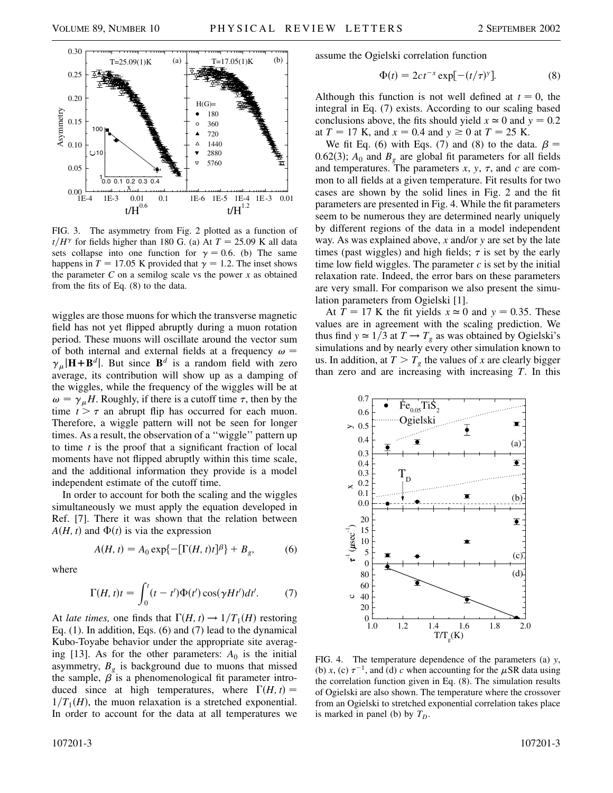

FIG. 3. The asymmetry from Fig. 2 plotted as a function of  $t/H^{\gamma}$  for fields higher than 180 G. (a) At  $T = 25.09$  K all data sets collapse into one function for  $\gamma = 0.6$ . (b) The same happens in  $T = 17.05$  K provided that  $\gamma = 1.2$ . The inset shows the parameter  $C$  on a semilog scale vs the power  $x$  as obtained from the fits of Eq. (8) to the data.

wiggles are those muons for which the transverse magnetic field has not yet flipped abruptly during a muon rotation period. These muons will oscillate around the vector sum of both internal and external fields at a frequency  $\omega$  =  $\gamma_{\mu}$ |**H**+**B**<sup>*d*</sup>|. But since **B**<sup>*d*</sup> is a random field with zero average, its contribution will show up as a damping of the wiggles, while the frequency of the wiggles will be at  $\omega = \gamma_{\mu}H$ . Roughly, if there is a cutoff time  $\tau$ , then by the time  $t > \tau$  an abrupt flip has occurred for each muon. Therefore, a wiggle pattern will not be seen for longer times. As a result, the observation of a ''wiggle'' pattern up to time *t* is the proof that a significant fraction of local moments have not flipped abruptly within this time scale, and the additional information they provide is a model independent estimate of the cutoff time.

In order to account for both the scaling and the wiggles simultaneously we must apply the equation developed in Ref. [7]. There it was shown that the relation between  $A(H, t)$  and  $\Phi(t)$  is via the expression

$$
A(H, t) = A_0 \exp\{-\left[\Gamma(H, t)t\right]^\beta\} + B_g,\tag{6}
$$

where

$$
\Gamma(H,t)t = \int_0^t (t-t')\Phi(t')\cos(\gamma Ht')dt'.\tag{7}
$$

At *late times*, one finds that  $\Gamma(H, t) \rightarrow 1/T_1(H)$  restoring Eq. (1). In addition, Eqs. (6) and (7) lead to the dynamical Kubo-Toyabe behavior under the appropriate site averaging [13]. As for the other parameters:  $A_0$  is the initial asymmetry,  $B_{\varrho}$  is background due to muons that missed the sample,  $\beta$  is a phenomenological fit parameter introduced since at high temperatures, where  $\Gamma(H, t) =$  $1/T_1(H)$ , the muon relaxation is a stretched exponential. In order to account for the data at all temperatures we assume the Ogielski correlation function

$$
\Phi(t) = 2ct^{-x} \exp[-(t/\tau)^y]. \tag{8}
$$

Although this function is not well defined at  $t = 0$ , the integral in Eq. (7) exists. According to our scaling based conclusions above, the fits should yield  $x \approx 0$  and  $y = 0.2$ at  $T = 17$  K, and  $x = 0.4$  and  $y \ge 0$  at  $T = 25$  K.

We fit Eq. (6) with Eqs. (7) and (8) to the data.  $\beta =$ 0.62(3);  $A_0$  and  $B_g$  are global fit parameters for all fields and temperatures. The parameters  $x$ ,  $y$ ,  $\tau$ , and  $c$  are common to all fields at a given temperature. Fit results for two cases are shown by the solid lines in Fig. 2 and the fit parameters are presented in Fig. 4. While the fit parameters seem to be numerous they are determined nearly uniquely by different regions of the data in a model independent way. As was explained above, *x* and/or *y* are set by the late times (past wiggles) and high fields;  $\tau$  is set by the early time low field wiggles. The parameter  $c$  is set by the initial relaxation rate. Indeed, the error bars on these parameters are very small. For comparison we also present the simulation parameters from Ogielski [1].

At  $T = 17$  K the fit yields  $x \approx 0$  and  $y = 0.35$ . These values are in agreement with the scaling prediction. We thus find  $y \approx 1/3$  at  $T \rightarrow T_g$  as was obtained by Ogielski's simulations and by nearly every other simulation known to us. In addition, at  $T > T_g$  the values of *x* are clearly bigger than zero and are increasing with increasing *T*. In this



FIG. 4. The temperature dependence of the parameters (a) *y*, (b) *x*, (c)  $\tau^{-1}$ , and (d) *c* when accounting for the  $\mu$ SR data using the correlation function given in Eq. (8). The simulation results of Ogielski are also shown. The temperature where the crossover from an Ogielski to stretched exponential correlation takes place is marked in panel (b) by  $T_D$ .